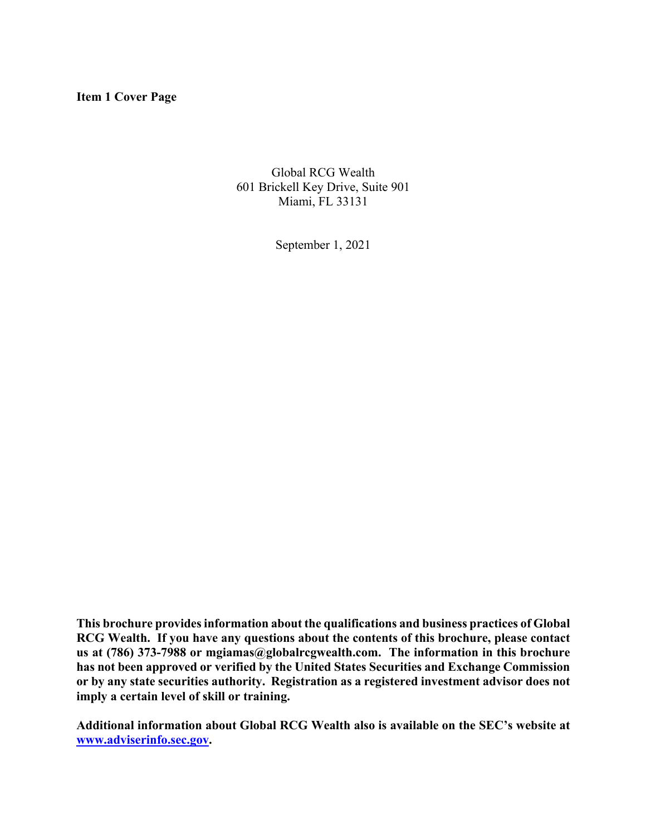**Item 1 Cover Page**

Global RCG Wealth 601 Brickell Key Drive, Suite 901 Miami, FL 33131

September 1, 2021

**This brochure provides information about the qualifications and business practices of Global RCG Wealth. If you have any questions about the contents of this brochure, please contact us at (786) 373-7988 or mgiamas@globalrcgwealth.com. The information in this brochure has not been approved or verified by the United States Securities and Exchange Commission or by any state securities authority. Registration as a registered investment advisor does not imply a certain level of skill or training.**

**Additional information about Global RCG Wealth also is available on the SEC's website at www.adviserinfo.sec.gov.**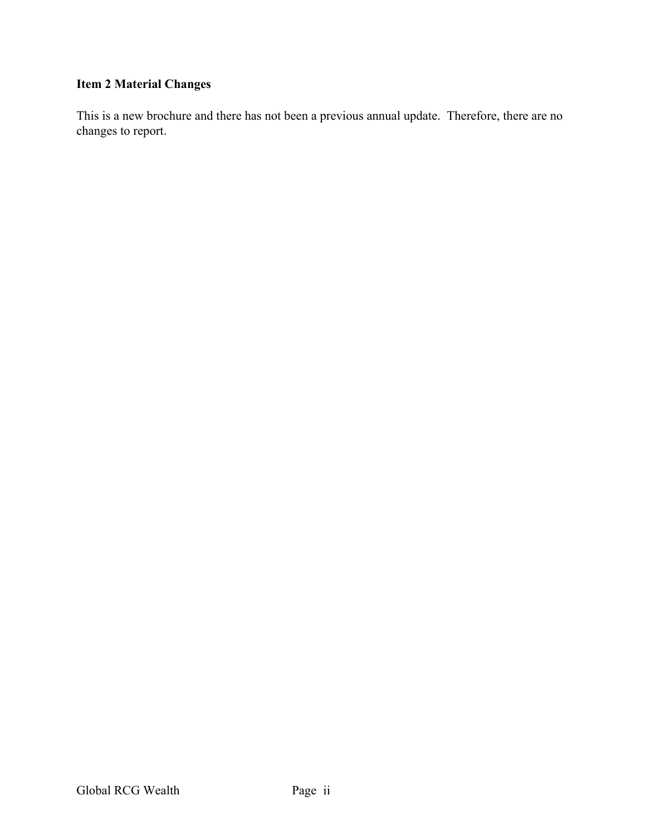# **Item 2 Material Changes**

This is a new brochure and there has not been a previous annual update. Therefore, there are no changes to report.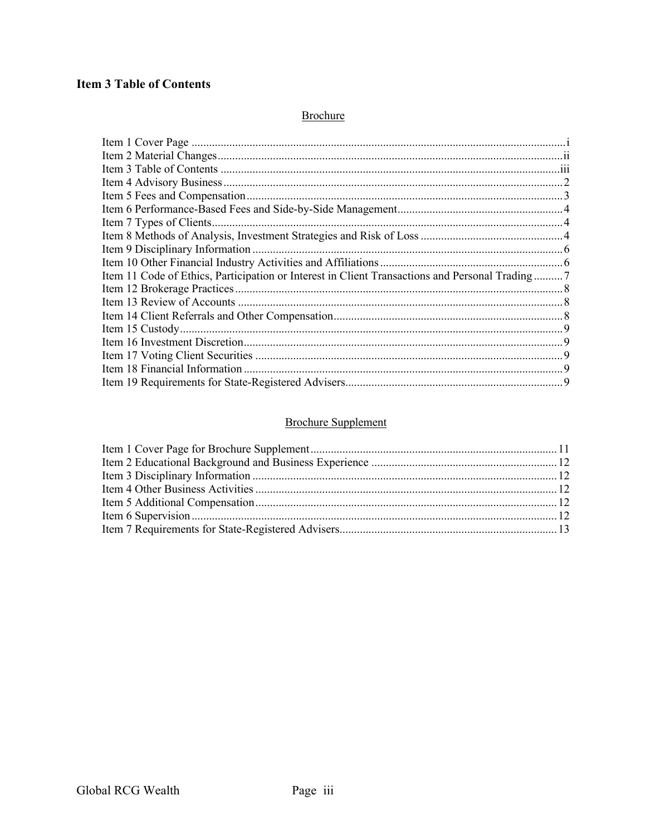# **Item 3 Table of Contents**

### Brochure

| Item 11 Code of Ethics, Participation or Interest in Client Transactions and Personal Trading7 |  |
|------------------------------------------------------------------------------------------------|--|
|                                                                                                |  |
|                                                                                                |  |
|                                                                                                |  |
|                                                                                                |  |
|                                                                                                |  |
|                                                                                                |  |
|                                                                                                |  |
|                                                                                                |  |

### **Brochure Supplement**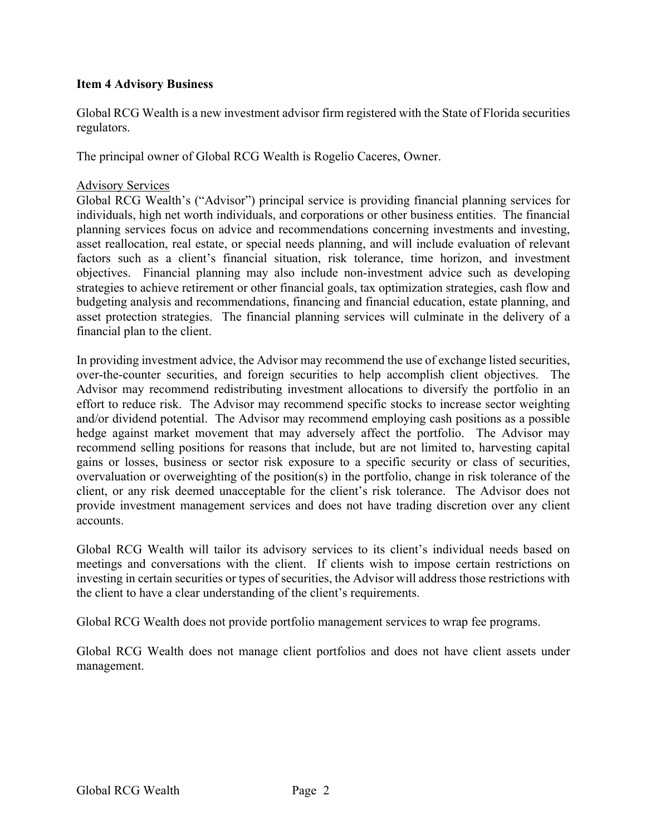### **Item 4 Advisory Business**

Global RCG Wealth is a new investment advisor firm registered with the State of Florida securities regulators.

The principal owner of Global RCG Wealth is Rogelio Caceres, Owner.

### Advisory Services

Global RCG Wealth's ("Advisor") principal service is providing financial planning services for individuals, high net worth individuals, and corporations or other business entities. The financial planning services focus on advice and recommendations concerning investments and investing, asset reallocation, real estate, or special needs planning, and will include evaluation of relevant factors such as a client's financial situation, risk tolerance, time horizon, and investment objectives. Financial planning may also include non-investment advice such as developing strategies to achieve retirement or other financial goals, tax optimization strategies, cash flow and budgeting analysis and recommendations, financing and financial education, estate planning, and asset protection strategies. The financial planning services will culminate in the delivery of a financial plan to the client.

In providing investment advice, the Advisor may recommend the use of exchange listed securities, over-the-counter securities, and foreign securities to help accomplish client objectives. The Advisor may recommend redistributing investment allocations to diversify the portfolio in an effort to reduce risk. The Advisor may recommend specific stocks to increase sector weighting and/or dividend potential. The Advisor may recommend employing cash positions as a possible hedge against market movement that may adversely affect the portfolio. The Advisor may recommend selling positions for reasons that include, but are not limited to, harvesting capital gains or losses, business or sector risk exposure to a specific security or class of securities, overvaluation or overweighting of the position(s) in the portfolio, change in risk tolerance of the client, or any risk deemed unacceptable for the client's risk tolerance. The Advisor does not provide investment management services and does not have trading discretion over any client accounts.

Global RCG Wealth will tailor its advisory services to its client's individual needs based on meetings and conversations with the client. If clients wish to impose certain restrictions on investing in certain securities or types of securities, the Advisor will address those restrictions with the client to have a clear understanding of the client's requirements.

Global RCG Wealth does not provide portfolio management services to wrap fee programs.

Global RCG Wealth does not manage client portfolios and does not have client assets under management.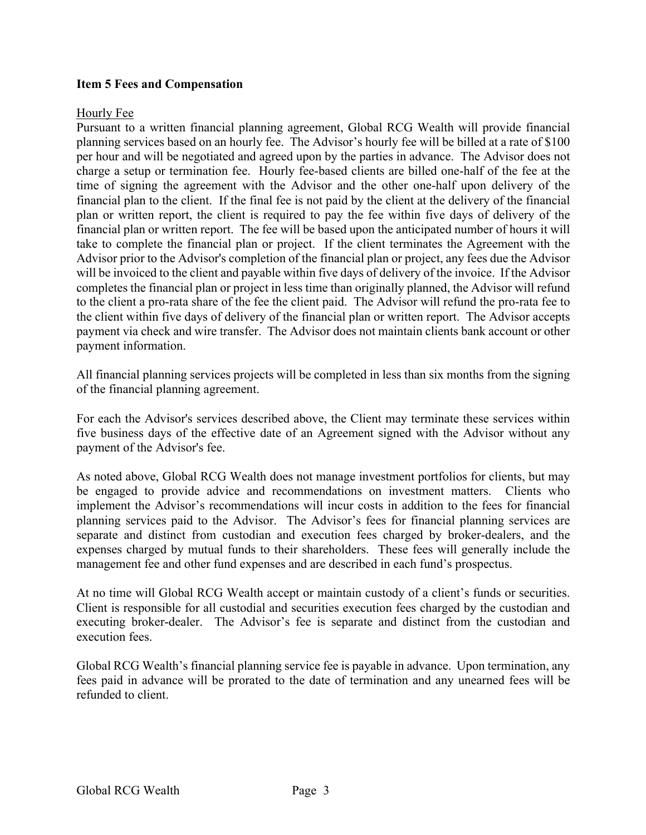### **Item 5 Fees and Compensation**

### Hourly Fee

Pursuant to a written financial planning agreement, Global RCG Wealth will provide financial planning services based on an hourly fee. The Advisor's hourly fee will be billed at a rate of \$100 per hour and will be negotiated and agreed upon by the parties in advance. The Advisor does not charge a setup or termination fee. Hourly fee-based clients are billed one-half of the fee at the time of signing the agreement with the Advisor and the other one-half upon delivery of the financial plan to the client. If the final fee is not paid by the client at the delivery of the financial plan or written report, the client is required to pay the fee within five days of delivery of the financial plan or written report. The fee will be based upon the anticipated number of hours it will take to complete the financial plan or project. If the client terminates the Agreement with the Advisor prior to the Advisor's completion of the financial plan or project, any fees due the Advisor will be invoiced to the client and payable within five days of delivery of the invoice. If the Advisor completes the financial plan or project in less time than originally planned, the Advisor will refund to the client a pro-rata share of the fee the client paid. The Advisor will refund the pro-rata fee to the client within five days of delivery of the financial plan or written report. The Advisor accepts payment via check and wire transfer. The Advisor does not maintain clients bank account or other payment information.

All financial planning services projects will be completed in less than six months from the signing of the financial planning agreement.

For each the Advisor's services described above, the Client may terminate these services within five business days of the effective date of an Agreement signed with the Advisor without any payment of the Advisor's fee.

As noted above, Global RCG Wealth does not manage investment portfolios for clients, but may be engaged to provide advice and recommendations on investment matters. Clients who implement the Advisor's recommendations will incur costs in addition to the fees for financial planning services paid to the Advisor. The Advisor's fees for financial planning services are separate and distinct from custodian and execution fees charged by broker-dealers, and the expenses charged by mutual funds to their shareholders. These fees will generally include the management fee and other fund expenses and are described in each fund's prospectus.

At no time will Global RCG Wealth accept or maintain custody of a client's funds or securities. Client is responsible for all custodial and securities execution fees charged by the custodian and executing broker-dealer. The Advisor's fee is separate and distinct from the custodian and execution fees.

Global RCG Wealth's financial planning service fee is payable in advance. Upon termination, any fees paid in advance will be prorated to the date of termination and any unearned fees will be refunded to client.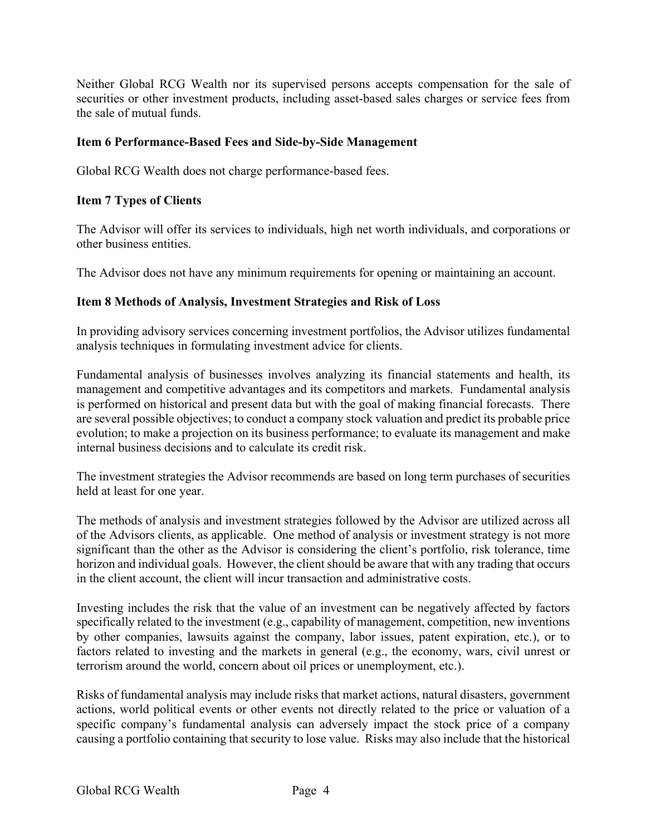Neither Global RCG Wealth nor its supervised persons accepts compensation for the sale of securities or other investment products, including asset-based sales charges or service fees from the sale of mutual funds.

### **Item 6 Performance-Based Fees and Side-by-Side Management**

Global RCG Wealth does not charge performance-based fees.

### **Item 7 Types of Clients**

The Advisor will offer its services to individuals, high net worth individuals, and corporations or other business entities.

The Advisor does not have any minimum requirements for opening or maintaining an account.

### **Item 8 Methods of Analysis, Investment Strategies and Risk of Loss**

In providing advisory services concerning investment portfolios, the Advisor utilizes fundamental analysis techniques in formulating investment advice for clients.

Fundamental analysis of businesses involves analyzing its financial statements and health, its management and competitive advantages and its competitors and markets. Fundamental analysis is performed on historical and present data but with the goal of making financial forecasts. There are several possible objectives; to conduct a company stock valuation and predict its probable price evolution; to make a projection on its business performance; to evaluate its management and make internal business decisions and to calculate its credit risk.

The investment strategies the Advisor recommends are based on long term purchases of securities held at least for one year.

The methods of analysis and investment strategies followed by the Advisor are utilized across all of the Advisors clients, as applicable. One method of analysis or investment strategy is not more significant than the other as the Advisor is considering the client's portfolio, risk tolerance, time horizon and individual goals. However, the client should be aware that with any trading that occurs in the client account, the client will incur transaction and administrative costs.

Investing includes the risk that the value of an investment can be negatively affected by factors specifically related to the investment (e.g., capability of management, competition, new inventions by other companies, lawsuits against the company, labor issues, patent expiration, etc.), or to factors related to investing and the markets in general (e.g., the economy, wars, civil unrest or terrorism around the world, concern about oil prices or unemployment, etc.).

Risks of fundamental analysis may include risks that market actions, natural disasters, government actions, world political events or other events not directly related to the price or valuation of a specific company's fundamental analysis can adversely impact the stock price of a company causing a portfolio containing that security to lose value. Risks may also include that the historical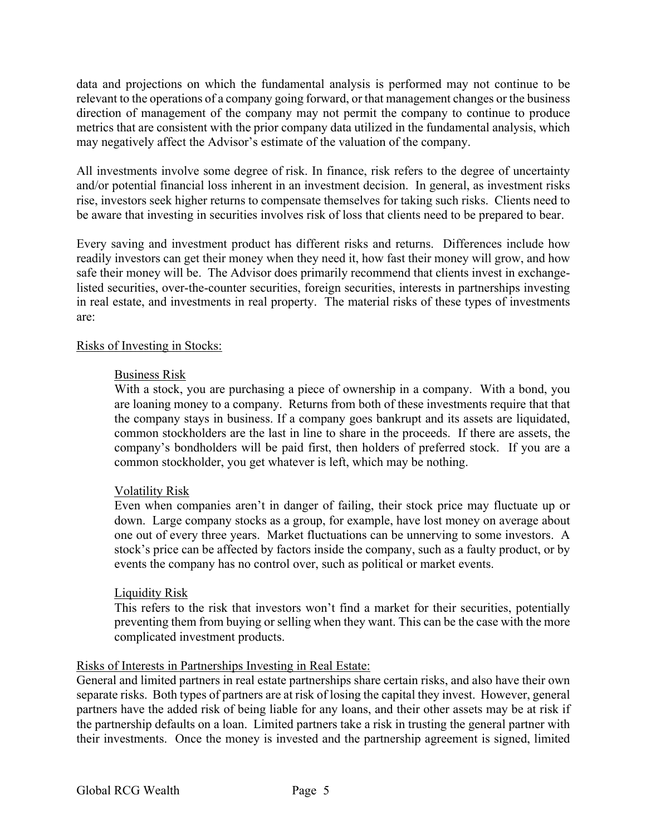data and projections on which the fundamental analysis is performed may not continue to be relevant to the operations of a company going forward, or that management changes or the business direction of management of the company may not permit the company to continue to produce metrics that are consistent with the prior company data utilized in the fundamental analysis, which may negatively affect the Advisor's estimate of the valuation of the company.

All investments involve some degree of risk. In finance, risk refers to the degree of uncertainty and/or potential financial loss inherent in an investment decision. In general, as investment risks rise, investors seek higher returns to compensate themselves for taking such risks. Clients need to be aware that investing in securities involves risk of loss that clients need to be prepared to bear.

Every saving and investment product has different risks and returns. Differences include how readily investors can get their money when they need it, how fast their money will grow, and how safe their money will be. The Advisor does primarily recommend that clients invest in exchangelisted securities, over-the-counter securities, foreign securities, interests in partnerships investing in real estate, and investments in real property. The material risks of these types of investments are:

### Risks of Investing in Stocks:

### Business Risk

With a stock, you are purchasing a piece of ownership in a company. With a bond, you are loaning money to a company. Returns from both of these investments require that that the company stays in business. If a company goes bankrupt and its assets are liquidated, common stockholders are the last in line to share in the proceeds. If there are assets, the company's bondholders will be paid first, then holders of preferred stock. If you are a common stockholder, you get whatever is left, which may be nothing.

### Volatility Risk

Even when companies aren't in danger of failing, their stock price may fluctuate up or down. Large company stocks as a group, for example, have lost money on average about one out of every three years. Market fluctuations can be unnerving to some investors. A stock's price can be affected by factors inside the company, such as a faulty product, or by events the company has no control over, such as political or market events.

### Liquidity Risk

This refers to the risk that investors won't find a market for their securities, potentially preventing them from buying or selling when they want. This can be the case with the more complicated investment products.

### Risks of Interests in Partnerships Investing in Real Estate:

General and limited partners in real estate partnerships share certain risks, and also have their own separate risks. Both types of partners are at risk of losing the capital they invest. However, general partners have the added risk of being liable for any loans, and their other assets may be at risk if the partnership defaults on a loan. Limited partners take a risk in trusting the general partner with their investments. Once the money is invested and the partnership agreement is signed, limited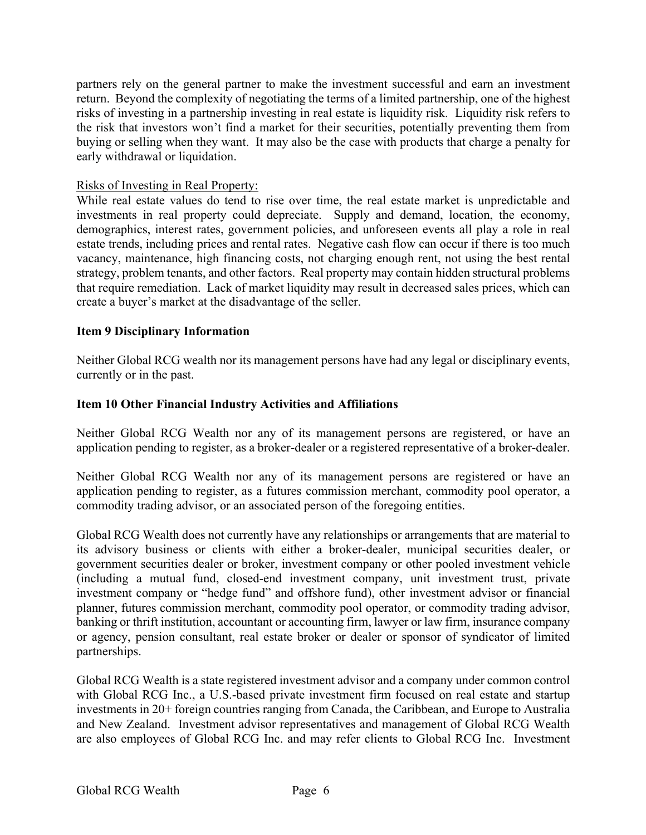partners rely on the general partner to make the investment successful and earn an investment return. Beyond the complexity of negotiating the terms of a limited partnership, one of the highest risks of investing in a partnership investing in real estate is liquidity risk. Liquidity risk refers to the risk that investors won't find a market for their securities, potentially preventing them from buying or selling when they want. It may also be the case with products that charge a penalty for early withdrawal or liquidation.

### Risks of Investing in Real Property:

While real estate values do tend to rise over time, the real estate market is unpredictable and investments in real property could depreciate. Supply and demand, location, the economy, demographics, interest rates, government policies, and unforeseen events all play a role in real estate trends, including prices and rental rates. Negative cash flow can occur if there is too much vacancy, maintenance, high financing costs, not charging enough rent, not using the best rental strategy, problem tenants, and other factors. Real property may contain hidden structural problems that require remediation. Lack of market liquidity may result in decreased sales prices, which can create a buyer's market at the disadvantage of the seller.

### **Item 9 Disciplinary Information**

Neither Global RCG wealth nor its management persons have had any legal or disciplinary events, currently or in the past.

### **Item 10 Other Financial Industry Activities and Affiliations**

Neither Global RCG Wealth nor any of its management persons are registered, or have an application pending to register, as a broker-dealer or a registered representative of a broker-dealer.

Neither Global RCG Wealth nor any of its management persons are registered or have an application pending to register, as a futures commission merchant, commodity pool operator, a commodity trading advisor, or an associated person of the foregoing entities.

Global RCG Wealth does not currently have any relationships or arrangements that are material to its advisory business or clients with either a broker-dealer, municipal securities dealer, or government securities dealer or broker, investment company or other pooled investment vehicle (including a mutual fund, closed-end investment company, unit investment trust, private investment company or "hedge fund" and offshore fund), other investment advisor or financial planner, futures commission merchant, commodity pool operator, or commodity trading advisor, banking or thrift institution, accountant or accounting firm, lawyer or law firm, insurance company or agency, pension consultant, real estate broker or dealer or sponsor of syndicator of limited partnerships.

Global RCG Wealth is a state registered investment advisor and a company under common control with Global RCG Inc., a U.S.-based private investment firm focused on real estate and startup investments in 20+ foreign countries ranging from Canada, the Caribbean, and Europe to Australia and New Zealand. Investment advisor representatives and management of Global RCG Wealth are also employees of Global RCG Inc. and may refer clients to Global RCG Inc. Investment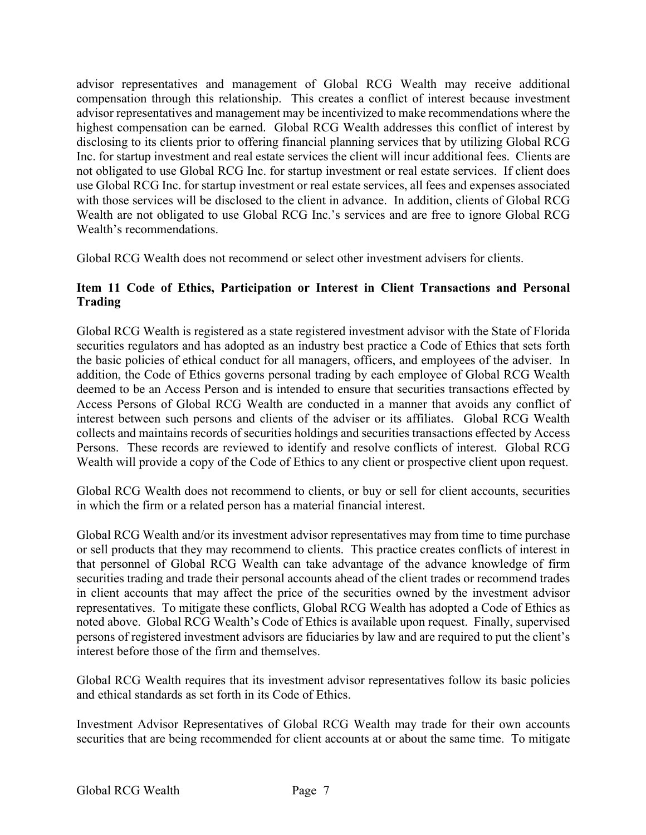advisor representatives and management of Global RCG Wealth may receive additional compensation through this relationship. This creates a conflict of interest because investment advisor representatives and management may be incentivized to make recommendations where the highest compensation can be earned. Global RCG Wealth addresses this conflict of interest by disclosing to its clients prior to offering financial planning services that by utilizing Global RCG Inc. for startup investment and real estate services the client will incur additional fees. Clients are not obligated to use Global RCG Inc. for startup investment or real estate services. If client does use Global RCG Inc. for startup investment or real estate services, all fees and expenses associated with those services will be disclosed to the client in advance. In addition, clients of Global RCG Wealth are not obligated to use Global RCG Inc.'s services and are free to ignore Global RCG Wealth's recommendations.

Global RCG Wealth does not recommend or select other investment advisers for clients.

### **Item 11 Code of Ethics, Participation or Interest in Client Transactions and Personal Trading**

Global RCG Wealth is registered as a state registered investment advisor with the State of Florida securities regulators and has adopted as an industry best practice a Code of Ethics that sets forth the basic policies of ethical conduct for all managers, officers, and employees of the adviser. In addition, the Code of Ethics governs personal trading by each employee of Global RCG Wealth deemed to be an Access Person and is intended to ensure that securities transactions effected by Access Persons of Global RCG Wealth are conducted in a manner that avoids any conflict of interest between such persons and clients of the adviser or its affiliates. Global RCG Wealth collects and maintains records of securities holdings and securities transactions effected by Access Persons. These records are reviewed to identify and resolve conflicts of interest. Global RCG Wealth will provide a copy of the Code of Ethics to any client or prospective client upon request.

Global RCG Wealth does not recommend to clients, or buy or sell for client accounts, securities in which the firm or a related person has a material financial interest.

Global RCG Wealth and/or its investment advisor representatives may from time to time purchase or sell products that they may recommend to clients. This practice creates conflicts of interest in that personnel of Global RCG Wealth can take advantage of the advance knowledge of firm securities trading and trade their personal accounts ahead of the client trades or recommend trades in client accounts that may affect the price of the securities owned by the investment advisor representatives. To mitigate these conflicts, Global RCG Wealth has adopted a Code of Ethics as noted above. Global RCG Wealth's Code of Ethics is available upon request. Finally, supervised persons of registered investment advisors are fiduciaries by law and are required to put the client's interest before those of the firm and themselves.

Global RCG Wealth requires that its investment advisor representatives follow its basic policies and ethical standards as set forth in its Code of Ethics.

Investment Advisor Representatives of Global RCG Wealth may trade for their own accounts securities that are being recommended for client accounts at or about the same time. To mitigate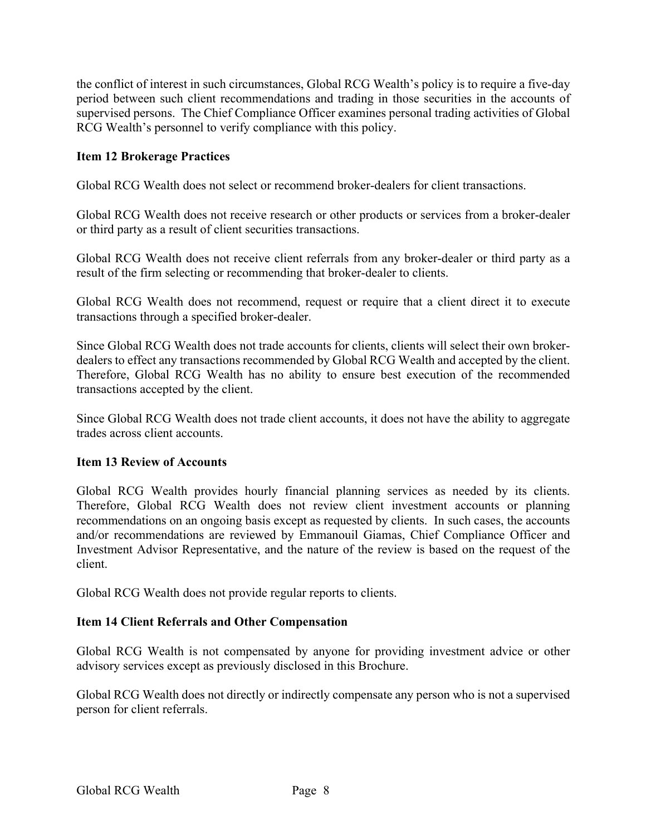the conflict of interest in such circumstances, Global RCG Wealth's policy is to require a five-day period between such client recommendations and trading in those securities in the accounts of supervised persons. The Chief Compliance Officer examines personal trading activities of Global RCG Wealth's personnel to verify compliance with this policy.

### **Item 12 Brokerage Practices**

Global RCG Wealth does not select or recommend broker-dealers for client transactions.

Global RCG Wealth does not receive research or other products or services from a broker-dealer or third party as a result of client securities transactions.

Global RCG Wealth does not receive client referrals from any broker-dealer or third party as a result of the firm selecting or recommending that broker-dealer to clients.

Global RCG Wealth does not recommend, request or require that a client direct it to execute transactions through a specified broker-dealer.

Since Global RCG Wealth does not trade accounts for clients, clients will select their own brokerdealers to effect any transactions recommended by Global RCG Wealth and accepted by the client. Therefore, Global RCG Wealth has no ability to ensure best execution of the recommended transactions accepted by the client.

Since Global RCG Wealth does not trade client accounts, it does not have the ability to aggregate trades across client accounts.

### **Item 13 Review of Accounts**

Global RCG Wealth provides hourly financial planning services as needed by its clients. Therefore, Global RCG Wealth does not review client investment accounts or planning recommendations on an ongoing basis except as requested by clients. In such cases, the accounts and/or recommendations are reviewed by Emmanouil Giamas, Chief Compliance Officer and Investment Advisor Representative, and the nature of the review is based on the request of the client.

Global RCG Wealth does not provide regular reports to clients.

### **Item 14 Client Referrals and Other Compensation**

Global RCG Wealth is not compensated by anyone for providing investment advice or other advisory services except as previously disclosed in this Brochure.

Global RCG Wealth does not directly or indirectly compensate any person who is not a supervised person for client referrals.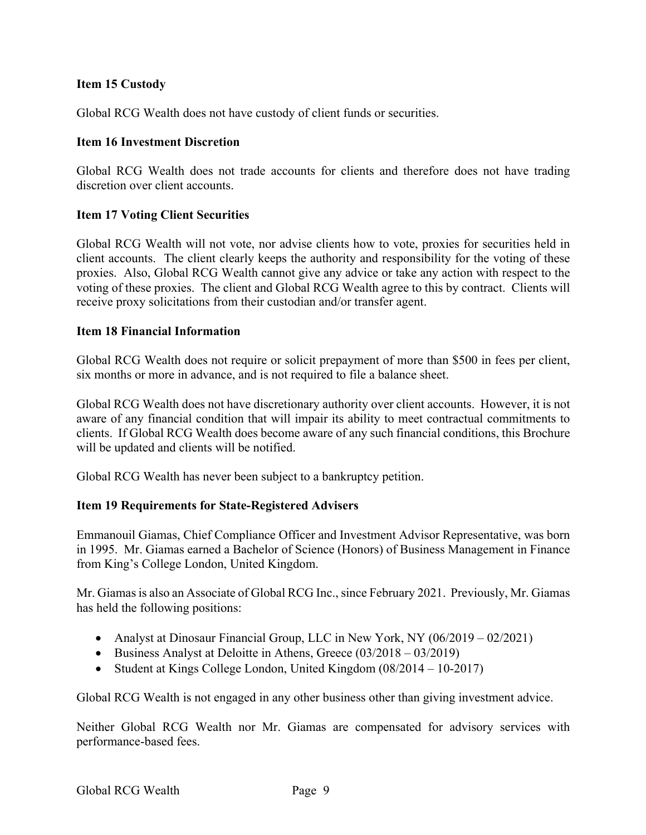### **Item 15 Custody**

Global RCG Wealth does not have custody of client funds or securities.

### **Item 16 Investment Discretion**

Global RCG Wealth does not trade accounts for clients and therefore does not have trading discretion over client accounts.

### **Item 17 Voting Client Securities**

Global RCG Wealth will not vote, nor advise clients how to vote, proxies for securities held in client accounts. The client clearly keeps the authority and responsibility for the voting of these proxies. Also, Global RCG Wealth cannot give any advice or take any action with respect to the voting of these proxies. The client and Global RCG Wealth agree to this by contract. Clients will receive proxy solicitations from their custodian and/or transfer agent.

### **Item 18 Financial Information**

Global RCG Wealth does not require or solicit prepayment of more than \$500 in fees per client, six months or more in advance, and is not required to file a balance sheet.

Global RCG Wealth does not have discretionary authority over client accounts. However, it is not aware of any financial condition that will impair its ability to meet contractual commitments to clients. If Global RCG Wealth does become aware of any such financial conditions, this Brochure will be updated and clients will be notified.

Global RCG Wealth has never been subject to a bankruptcy petition.

### **Item 19 Requirements for State-Registered Advisers**

Emmanouil Giamas, Chief Compliance Officer and Investment Advisor Representative, was born in 1995. Mr. Giamas earned a Bachelor of Science (Honors) of Business Management in Finance from King's College London, United Kingdom.

Mr. Giamas is also an Associate of Global RCG Inc., since February 2021. Previously, Mr. Giamas has held the following positions:

- Analyst at Dinosaur Financial Group, LLC in New York, NY (06/2019 02/2021)
- Business Analyst at Deloitte in Athens, Greece (03/2018 03/2019)
- Student at Kings College London, United Kingdom (08/2014 10-2017)

Global RCG Wealth is not engaged in any other business other than giving investment advice.

Neither Global RCG Wealth nor Mr. Giamas are compensated for advisory services with performance-based fees.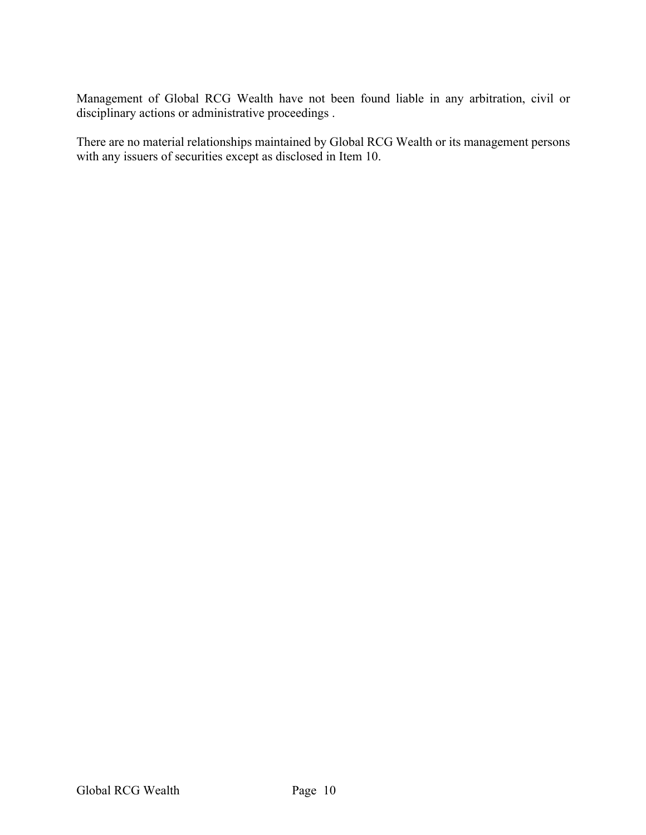Management of Global RCG Wealth have not been found liable in any arbitration, civil or disciplinary actions or administrative proceedings .

There are no material relationships maintained by Global RCG Wealth or its management persons with any issuers of securities except as disclosed in Item 10.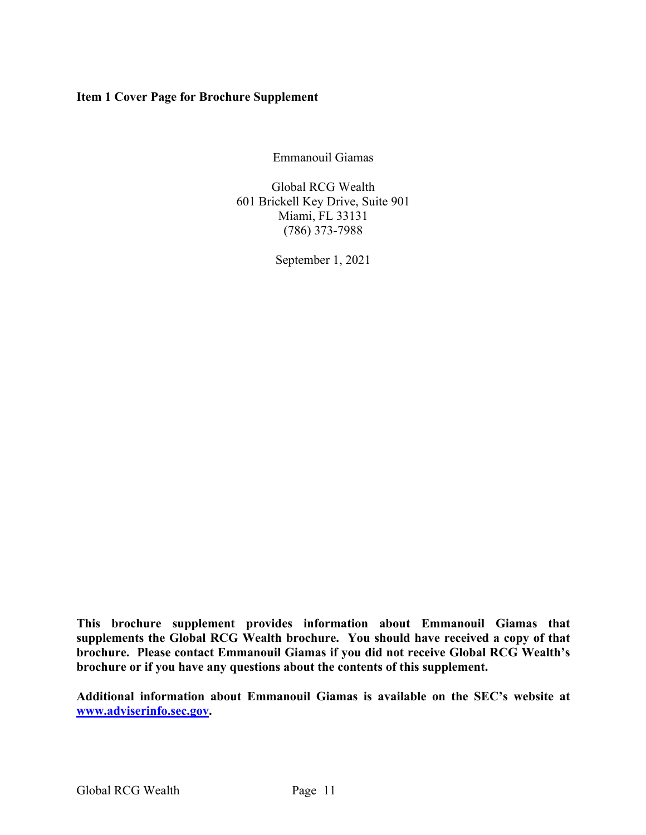### **Item 1 Cover Page for Brochure Supplement**

Emmanouil Giamas

Global RCG Wealth 601 Brickell Key Drive, Suite 901 Miami, FL 33131 (786) 373-7988

September 1, 2021

**This brochure supplement provides information about Emmanouil Giamas that supplements the Global RCG Wealth brochure. You should have received a copy of that brochure. Please contact Emmanouil Giamas if you did not receive Global RCG Wealth's brochure or if you have any questions about the contents of this supplement.**

**Additional information about Emmanouil Giamas is available on the SEC's website at www.adviserinfo.sec.gov.**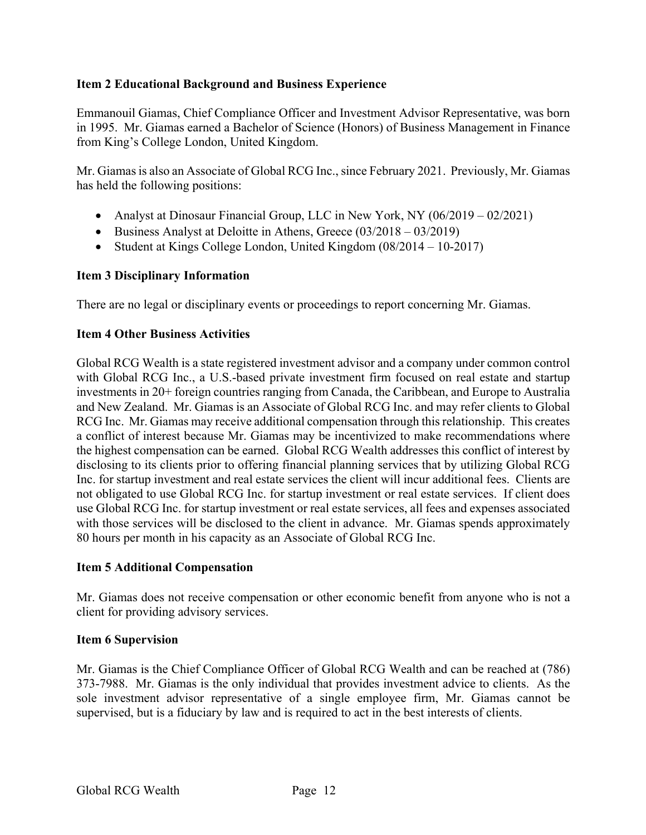### **Item 2 Educational Background and Business Experience**

Emmanouil Giamas, Chief Compliance Officer and Investment Advisor Representative, was born in 1995. Mr. Giamas earned a Bachelor of Science (Honors) of Business Management in Finance from King's College London, United Kingdom.

Mr. Giamas is also an Associate of Global RCG Inc., since February 2021. Previously, Mr. Giamas has held the following positions:

- Analyst at Dinosaur Financial Group, LLC in New York, NY (06/2019 02/2021)
- Business Analyst at Deloitte in Athens, Greece (03/2018 03/2019)
- Student at Kings College London, United Kingdom (08/2014 10-2017)

### **Item 3 Disciplinary Information**

There are no legal or disciplinary events or proceedings to report concerning Mr. Giamas.

### **Item 4 Other Business Activities**

Global RCG Wealth is a state registered investment advisor and a company under common control with Global RCG Inc., a U.S.-based private investment firm focused on real estate and startup investments in 20+ foreign countries ranging from Canada, the Caribbean, and Europe to Australia and New Zealand. Mr. Giamas is an Associate of Global RCG Inc. and may refer clients to Global RCG Inc. Mr. Giamas may receive additional compensation through this relationship. This creates a conflict of interest because Mr. Giamas may be incentivized to make recommendations where the highest compensation can be earned. Global RCG Wealth addresses this conflict of interest by disclosing to its clients prior to offering financial planning services that by utilizing Global RCG Inc. for startup investment and real estate services the client will incur additional fees. Clients are not obligated to use Global RCG Inc. for startup investment or real estate services. If client does use Global RCG Inc. for startup investment or real estate services, all fees and expenses associated with those services will be disclosed to the client in advance. Mr. Giamas spends approximately 80 hours per month in his capacity as an Associate of Global RCG Inc.

### **Item 5 Additional Compensation**

Mr. Giamas does not receive compensation or other economic benefit from anyone who is not a client for providing advisory services.

### **Item 6 Supervision**

Mr. Giamas is the Chief Compliance Officer of Global RCG Wealth and can be reached at (786) 373-7988. Mr. Giamas is the only individual that provides investment advice to clients. As the sole investment advisor representative of a single employee firm, Mr. Giamas cannot be supervised, but is a fiduciary by law and is required to act in the best interests of clients.